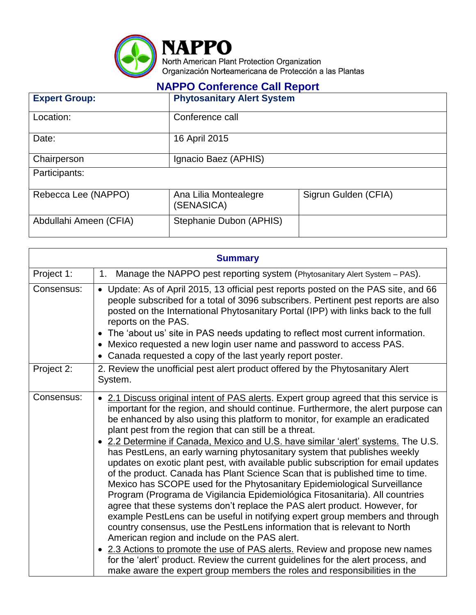

## **NAPPO Conference Call Report**

| <b>Expert Group:</b>   | <b>Phytosanitary Alert System</b>   |                      |
|------------------------|-------------------------------------|----------------------|
| Location:              | Conference call                     |                      |
| Date:                  | 16 April 2015                       |                      |
| Chairperson            | Ignacio Baez (APHIS)                |                      |
| Participants:          |                                     |                      |
| Rebecca Lee (NAPPO)    | Ana Lilia Montealegre<br>(SENASICA) | Sigrun Gulden (CFIA) |
| Abdullahi Ameen (CFIA) | Stephanie Dubon (APHIS)             |                      |

| <b>Summary</b> |                                                                                                                                                                                                                                                                                                                                                                                                                                                                                                                                                                                                                                                                                                                                                                                                                                                                                                                                                                                                                                                                                                                                                                                                                                                                                                                                                                          |  |  |  |
|----------------|--------------------------------------------------------------------------------------------------------------------------------------------------------------------------------------------------------------------------------------------------------------------------------------------------------------------------------------------------------------------------------------------------------------------------------------------------------------------------------------------------------------------------------------------------------------------------------------------------------------------------------------------------------------------------------------------------------------------------------------------------------------------------------------------------------------------------------------------------------------------------------------------------------------------------------------------------------------------------------------------------------------------------------------------------------------------------------------------------------------------------------------------------------------------------------------------------------------------------------------------------------------------------------------------------------------------------------------------------------------------------|--|--|--|
| Project 1:     | Manage the NAPPO pest reporting system (Phytosanitary Alert System – PAS).<br>1.                                                                                                                                                                                                                                                                                                                                                                                                                                                                                                                                                                                                                                                                                                                                                                                                                                                                                                                                                                                                                                                                                                                                                                                                                                                                                         |  |  |  |
| Consensus:     | • Update: As of April 2015, 13 official pest reports posted on the PAS site, and 66<br>people subscribed for a total of 3096 subscribers. Pertinent pest reports are also<br>posted on the International Phytosanitary Portal (IPP) with links back to the full<br>reports on the PAS.<br>The 'about us' site in PAS needs updating to reflect most current information.<br>• Mexico requested a new login user name and password to access PAS.<br>Canada requested a copy of the last yearly report poster.                                                                                                                                                                                                                                                                                                                                                                                                                                                                                                                                                                                                                                                                                                                                                                                                                                                            |  |  |  |
| Project 2:     | 2. Review the unofficial pest alert product offered by the Phytosanitary Alert<br>System.                                                                                                                                                                                                                                                                                                                                                                                                                                                                                                                                                                                                                                                                                                                                                                                                                                                                                                                                                                                                                                                                                                                                                                                                                                                                                |  |  |  |
| Consensus:     | • 2.1 Discuss original intent of PAS alerts. Expert group agreed that this service is<br>important for the region, and should continue. Furthermore, the alert purpose can<br>be enhanced by also using this platform to monitor, for example an eradicated<br>plant pest from the region that can still be a threat.<br>• 2.2 Determine if Canada, Mexico and U.S. have similar 'alert' systems. The U.S.<br>has PestLens, an early warning phytosanitary system that publishes weekly<br>updates on exotic plant pest, with available public subscription for email updates<br>of the product. Canada has Plant Science Scan that is published time to time.<br>Mexico has SCOPE used for the Phytosanitary Epidemiological Surveillance<br>Program (Programa de Vigilancia Epidemiológica Fitosanitaria). All countries<br>agree that these systems don't replace the PAS alert product. However, for<br>example PestLens can be useful in notifying expert group members and through<br>country consensus, use the PestLens information that is relevant to North<br>American region and include on the PAS alert.<br>• 2.3 Actions to promote the use of PAS alerts. Review and propose new names<br>for the 'alert' product. Review the current guidelines for the alert process, and<br>make aware the expert group members the roles and responsibilities in the |  |  |  |